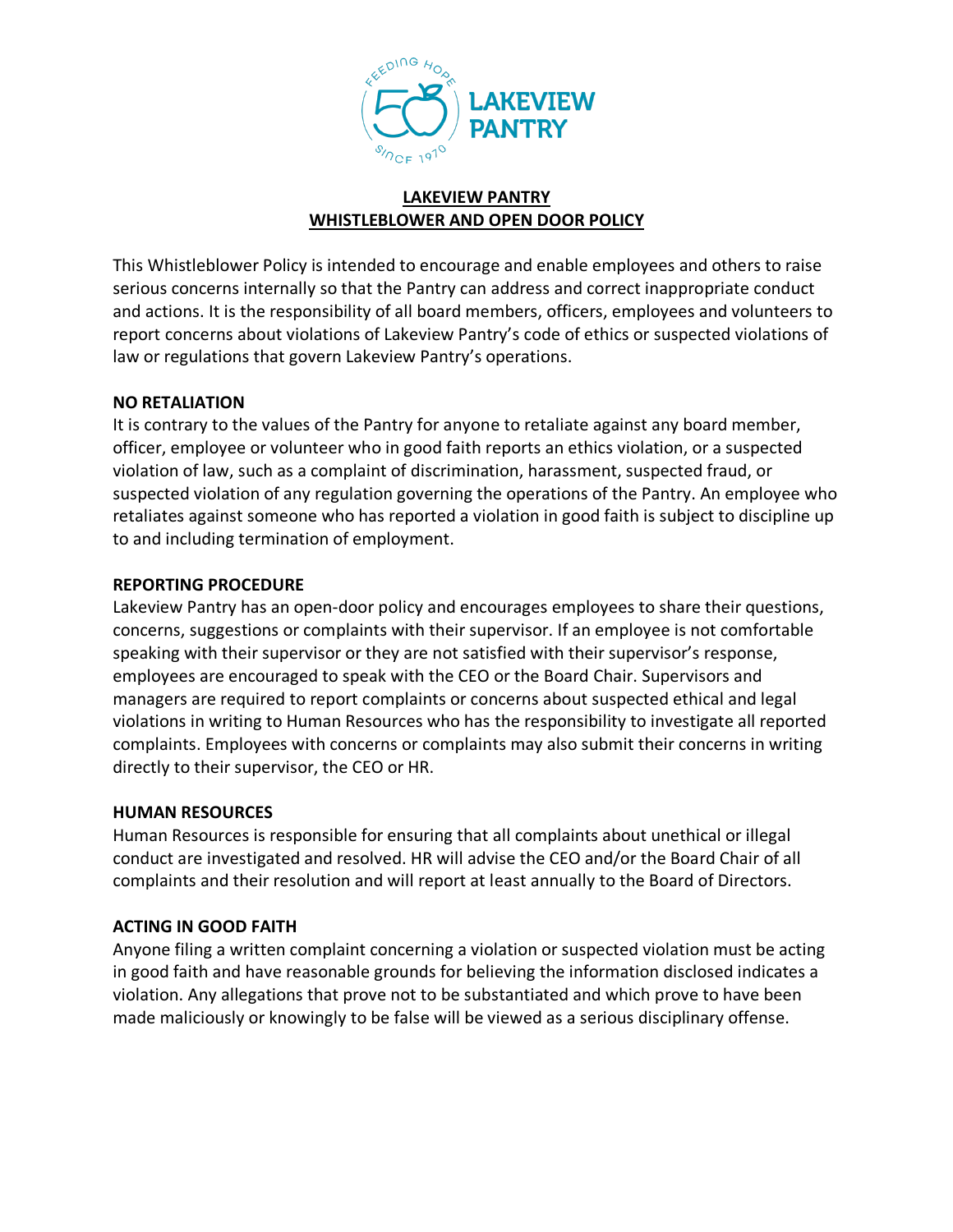

### **LAKEVIEW PANTRY WHISTLEBLOWER AND OPEN DOOR POLICY**

This Whistleblower Policy is intended to encourage and enable employees and others to raise serious concerns internally so that the Pantry can address and correct inappropriate conduct and actions. It is the responsibility of all board members, officers, employees and volunteers to report concerns about violations of Lakeview Pantry's code of ethics or suspected violations of law or regulations that govern Lakeview Pantry's operations.

## **NO RETALIATION**

It is contrary to the values of the Pantry for anyone to retaliate against any board member, officer, employee or volunteer who in good faith reports an ethics violation, or a suspected violation of law, such as a complaint of discrimination, harassment, suspected fraud, or suspected violation of any regulation governing the operations of the Pantry. An employee who retaliates against someone who has reported a violation in good faith is subject to discipline up to and including termination of employment.

## **REPORTING PROCEDURE**

Lakeview Pantry has an open-door policy and encourages employees to share their questions, concerns, suggestions or complaints with their supervisor. If an employee is not comfortable speaking with their supervisor or they are not satisfied with their supervisor's response, employees are encouraged to speak with the CEO or the Board Chair. Supervisors and managers are required to report complaints or concerns about suspected ethical and legal violations in writing to Human Resources who has the responsibility to investigate all reported complaints. Employees with concerns or complaints may also submit their concerns in writing directly to their supervisor, the CEO or HR.

#### **HUMAN RESOURCES**

Human Resources is responsible for ensuring that all complaints about unethical or illegal conduct are investigated and resolved. HR will advise the CEO and/or the Board Chair of all complaints and their resolution and will report at least annually to the Board of Directors.

# **ACTING IN GOOD FAITH**

Anyone filing a written complaint concerning a violation or suspected violation must be acting in good faith and have reasonable grounds for believing the information disclosed indicates a violation. Any allegations that prove not to be substantiated and which prove to have been made maliciously or knowingly to be false will be viewed as a serious disciplinary offense.